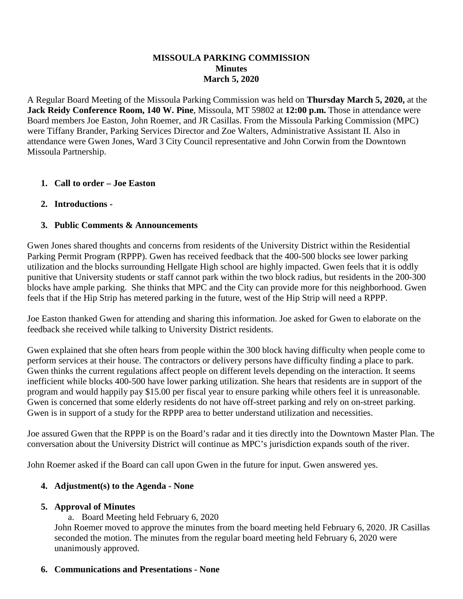#### **MISSOULA PARKING COMMISSION Minutes March 5, 2020**

A Regular Board Meeting of the Missoula Parking Commission was held on **Thursday March 5, 2020,** at the **Jack Reidy Conference Room, 140 W. Pine**, Missoula, MT 59802 at **12:00 p.m.** Those in attendance were Board members Joe Easton, John Roemer, and JR Casillas. From the Missoula Parking Commission (MPC) were Tiffany Brander, Parking Services Director and Zoe Walters, Administrative Assistant II. Also in attendance were Gwen Jones, Ward 3 City Council representative and John Corwin from the Downtown Missoula Partnership.

## **1. Call to order – Joe Easton**

## **2. Introductions -**

# **3. Public Comments & Announcements**

Gwen Jones shared thoughts and concerns from residents of the University District within the Residential Parking Permit Program (RPPP). Gwen has received feedback that the 400-500 blocks see lower parking utilization and the blocks surrounding Hellgate High school are highly impacted. Gwen feels that it is oddly punitive that University students or staff cannot park within the two block radius, but residents in the 200-300 blocks have ample parking. She thinks that MPC and the City can provide more for this neighborhood. Gwen feels that if the Hip Strip has metered parking in the future, west of the Hip Strip will need a RPPP.

Joe Easton thanked Gwen for attending and sharing this information. Joe asked for Gwen to elaborate on the feedback she received while talking to University District residents.

Gwen explained that she often hears from people within the 300 block having difficulty when people come to perform services at their house. The contractors or delivery persons have difficulty finding a place to park. Gwen thinks the current regulations affect people on different levels depending on the interaction. It seems inefficient while blocks 400-500 have lower parking utilization. She hears that residents are in support of the program and would happily pay \$15.00 per fiscal year to ensure parking while others feel it is unreasonable. Gwen is concerned that some elderly residents do not have off-street parking and rely on on-street parking. Gwen is in support of a study for the RPPP area to better understand utilization and necessities.

Joe assured Gwen that the RPPP is on the Board's radar and it ties directly into the Downtown Master Plan. The conversation about the University District will continue as MPC's jurisdiction expands south of the river.

John Roemer asked if the Board can call upon Gwen in the future for input. Gwen answered yes.

## **4. Adjustment(s) to the Agenda - None**

## **5. Approval of Minutes**

a. Board Meeting held February 6, 2020

John Roemer moved to approve the minutes from the board meeting held February 6, 2020. JR Casillas seconded the motion. The minutes from the regular board meeting held February 6, 2020 were unanimously approved.

## **6. Communications and Presentations - None**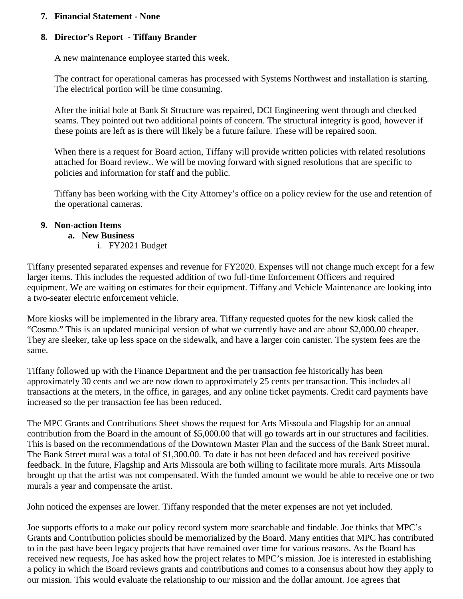#### **7. Financial Statement - None**

## **8. Director's Report - Tiffany Brander**

A new maintenance employee started this week.

The contract for operational cameras has processed with Systems Northwest and installation is starting. The electrical portion will be time consuming.

After the initial hole at Bank St Structure was repaired, DCI Engineering went through and checked seams. They pointed out two additional points of concern. The structural integrity is good, however if these points are left as is there will likely be a future failure. These will be repaired soon.

When there is a request for Board action, Tiffany will provide written policies with related resolutions attached for Board review.. We will be moving forward with signed resolutions that are specific to policies and information for staff and the public.

Tiffany has been working with the City Attorney's office on a policy review for the use and retention of the operational cameras.

#### **9. Non-action Items**

#### **a. New Business**

i. FY2021 Budget

Tiffany presented separated expenses and revenue for FY2020. Expenses will not change much except for a few larger items. This includes the requested addition of two full-time Enforcement Officers and required equipment. We are waiting on estimates for their equipment. Tiffany and Vehicle Maintenance are looking into a two-seater electric enforcement vehicle.

More kiosks will be implemented in the library area. Tiffany requested quotes for the new kiosk called the "Cosmo." This is an updated municipal version of what we currently have and are about \$2,000.00 cheaper. They are sleeker, take up less space on the sidewalk, and have a larger coin canister. The system fees are the same.

Tiffany followed up with the Finance Department and the per transaction fee historically has been approximately 30 cents and we are now down to approximately 25 cents per transaction. This includes all transactions at the meters, in the office, in garages, and any online ticket payments. Credit card payments have increased so the per transaction fee has been reduced.

The MPC Grants and Contributions Sheet shows the request for Arts Missoula and Flagship for an annual contribution from the Board in the amount of \$5,000.00 that will go towards art in our structures and facilities. This is based on the recommendations of the Downtown Master Plan and the success of the Bank Street mural. The Bank Street mural was a total of \$1,300.00. To date it has not been defaced and has received positive feedback. In the future, Flagship and Arts Missoula are both willing to facilitate more murals. Arts Missoula brought up that the artist was not compensated. With the funded amount we would be able to receive one or two murals a year and compensate the artist.

John noticed the expenses are lower. Tiffany responded that the meter expenses are not yet included.

Joe supports efforts to a make our policy record system more searchable and findable. Joe thinks that MPC's Grants and Contribution policies should be memorialized by the Board. Many entities that MPC has contributed to in the past have been legacy projects that have remained over time for various reasons. As the Board has received new requests, Joe has asked how the project relates to MPC's mission. Joe is interested in establishing a policy in which the Board reviews grants and contributions and comes to a consensus about how they apply to our mission. This would evaluate the relationship to our mission and the dollar amount. Joe agrees that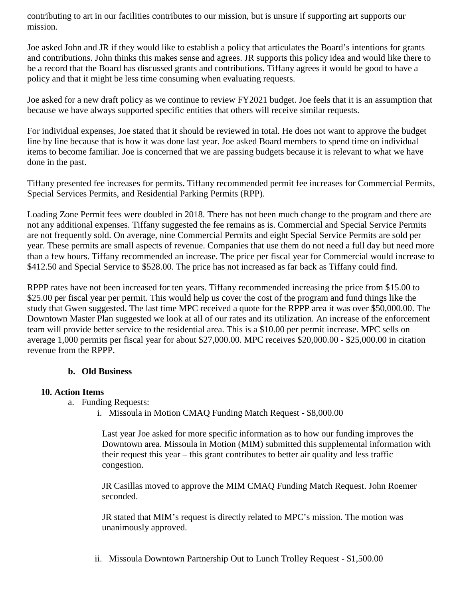contributing to art in our facilities contributes to our mission, but is unsure if supporting art supports our mission.

Joe asked John and JR if they would like to establish a policy that articulates the Board's intentions for grants and contributions. John thinks this makes sense and agrees. JR supports this policy idea and would like there to be a record that the Board has discussed grants and contributions. Tiffany agrees it would be good to have a policy and that it might be less time consuming when evaluating requests.

Joe asked for a new draft policy as we continue to review FY2021 budget. Joe feels that it is an assumption that because we have always supported specific entities that others will receive similar requests.

For individual expenses, Joe stated that it should be reviewed in total. He does not want to approve the budget line by line because that is how it was done last year. Joe asked Board members to spend time on individual items to become familiar. Joe is concerned that we are passing budgets because it is relevant to what we have done in the past.

Tiffany presented fee increases for permits. Tiffany recommended permit fee increases for Commercial Permits, Special Services Permits, and Residential Parking Permits (RPP).

Loading Zone Permit fees were doubled in 2018. There has not been much change to the program and there are not any additional expenses. Tiffany suggested the fee remains as is. Commercial and Special Service Permits are not frequently sold. On average, nine Commercial Permits and eight Special Service Permits are sold per year. These permits are small aspects of revenue. Companies that use them do not need a full day but need more than a few hours. Tiffany recommended an increase. The price per fiscal year for Commercial would increase to \$412.50 and Special Service to \$528.00. The price has not increased as far back as Tiffany could find.

RPPP rates have not been increased for ten years. Tiffany recommended increasing the price from \$15.00 to \$25.00 per fiscal year per permit. This would help us cover the cost of the program and fund things like the study that Gwen suggested. The last time MPC received a quote for the RPPP area it was over \$50,000.00. The Downtown Master Plan suggested we look at all of our rates and its utilization. An increase of the enforcement team will provide better service to the residential area. This is a \$10.00 per permit increase. MPC sells on average 1,000 permits per fiscal year for about \$27,000.00. MPC receives \$20,000.00 - \$25,000.00 in citation revenue from the RPPP.

#### **b. Old Business**

## **10. Action Items**

- a. Funding Requests:
	- i. Missoula in Motion CMAQ Funding Match Request \$8,000.00

Last year Joe asked for more specific information as to how our funding improves the Downtown area. Missoula in Motion (MIM) submitted this supplemental information with their request this year – this grant contributes to better air quality and less traffic congestion.

JR Casillas moved to approve the MIM CMAQ Funding Match Request. John Roemer seconded.

JR stated that MIM's request is directly related to MPC's mission. The motion was unanimously approved.

ii. Missoula Downtown Partnership Out to Lunch Trolley Request - \$1,500.00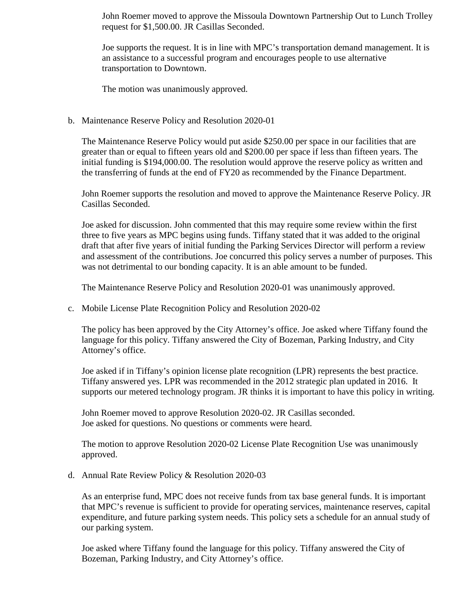John Roemer moved to approve the Missoula Downtown Partnership Out to Lunch Trolley request for \$1,500.00. JR Casillas Seconded.

Joe supports the request. It is in line with MPC's transportation demand management. It is an assistance to a successful program and encourages people to use alternative transportation to Downtown.

The motion was unanimously approved.

#### b. Maintenance Reserve Policy and Resolution 2020-01

The Maintenance Reserve Policy would put aside \$250.00 per space in our facilities that are greater than or equal to fifteen years old and \$200.00 per space if less than fifteen years. The initial funding is \$194,000.00. The resolution would approve the reserve policy as written and the transferring of funds at the end of FY20 as recommended by the Finance Department.

John Roemer supports the resolution and moved to approve the Maintenance Reserve Policy. JR Casillas Seconded.

Joe asked for discussion. John commented that this may require some review within the first three to five years as MPC begins using funds. Tiffany stated that it was added to the original draft that after five years of initial funding the Parking Services Director will perform a review and assessment of the contributions. Joe concurred this policy serves a number of purposes. This was not detrimental to our bonding capacity. It is an able amount to be funded.

The Maintenance Reserve Policy and Resolution 2020-01 was unanimously approved.

c. Mobile License Plate Recognition Policy and Resolution 2020-02

The policy has been approved by the City Attorney's office. Joe asked where Tiffany found the language for this policy. Tiffany answered the City of Bozeman, Parking Industry, and City Attorney's office.

Joe asked if in Tiffany's opinion license plate recognition (LPR) represents the best practice. Tiffany answered yes. LPR was recommended in the 2012 strategic plan updated in 2016. It supports our metered technology program. JR thinks it is important to have this policy in writing.

John Roemer moved to approve Resolution 2020-02. JR Casillas seconded. Joe asked for questions. No questions or comments were heard.

The motion to approve Resolution 2020-02 License Plate Recognition Use was unanimously approved.

d. Annual Rate Review Policy & Resolution 2020-03

As an enterprise fund, MPC does not receive funds from tax base general funds. It is important that MPC's revenue is sufficient to provide for operating services, maintenance reserves, capital expenditure, and future parking system needs. This policy sets a schedule for an annual study of our parking system.

Joe asked where Tiffany found the language for this policy. Tiffany answered the City of Bozeman, Parking Industry, and City Attorney's office.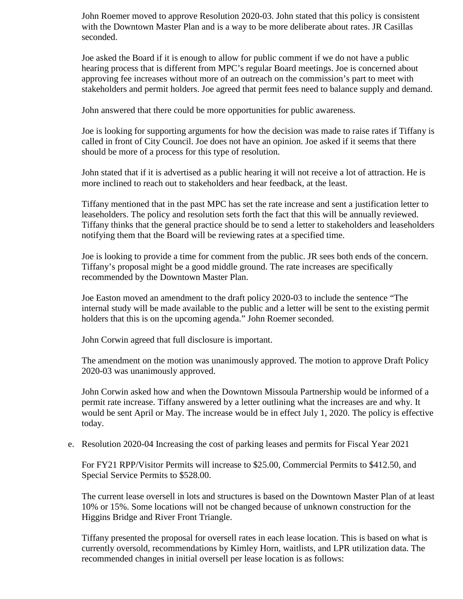John Roemer moved to approve Resolution 2020-03. John stated that this policy is consistent with the Downtown Master Plan and is a way to be more deliberate about rates. JR Casillas seconded.

Joe asked the Board if it is enough to allow for public comment if we do not have a public hearing process that is different from MPC's regular Board meetings. Joe is concerned about approving fee increases without more of an outreach on the commission's part to meet with stakeholders and permit holders. Joe agreed that permit fees need to balance supply and demand.

John answered that there could be more opportunities for public awareness.

Joe is looking for supporting arguments for how the decision was made to raise rates if Tiffany is called in front of City Council. Joe does not have an opinion. Joe asked if it seems that there should be more of a process for this type of resolution.

John stated that if it is advertised as a public hearing it will not receive a lot of attraction. He is more inclined to reach out to stakeholders and hear feedback, at the least.

Tiffany mentioned that in the past MPC has set the rate increase and sent a justification letter to leaseholders. The policy and resolution sets forth the fact that this will be annually reviewed. Tiffany thinks that the general practice should be to send a letter to stakeholders and leaseholders notifying them that the Board will be reviewing rates at a specified time.

Joe is looking to provide a time for comment from the public. JR sees both ends of the concern. Tiffany's proposal might be a good middle ground. The rate increases are specifically recommended by the Downtown Master Plan.

Joe Easton moved an amendment to the draft policy 2020-03 to include the sentence "The internal study will be made available to the public and a letter will be sent to the existing permit holders that this is on the upcoming agenda." John Roemer seconded.

John Corwin agreed that full disclosure is important.

The amendment on the motion was unanimously approved. The motion to approve Draft Policy 2020-03 was unanimously approved.

John Corwin asked how and when the Downtown Missoula Partnership would be informed of a permit rate increase. Tiffany answered by a letter outlining what the increases are and why. It would be sent April or May. The increase would be in effect July 1, 2020. The policy is effective today.

e. Resolution 2020-04 Increasing the cost of parking leases and permits for Fiscal Year 2021

For FY21 RPP/Visitor Permits will increase to \$25.00, Commercial Permits to \$412.50, and Special Service Permits to \$528.00.

The current lease oversell in lots and structures is based on the Downtown Master Plan of at least 10% or 15%. Some locations will not be changed because of unknown construction for the Higgins Bridge and River Front Triangle.

Tiffany presented the proposal for oversell rates in each lease location. This is based on what is currently oversold, recommendations by Kimley Horn, waitlists, and LPR utilization data. The recommended changes in initial oversell per lease location is as follows: